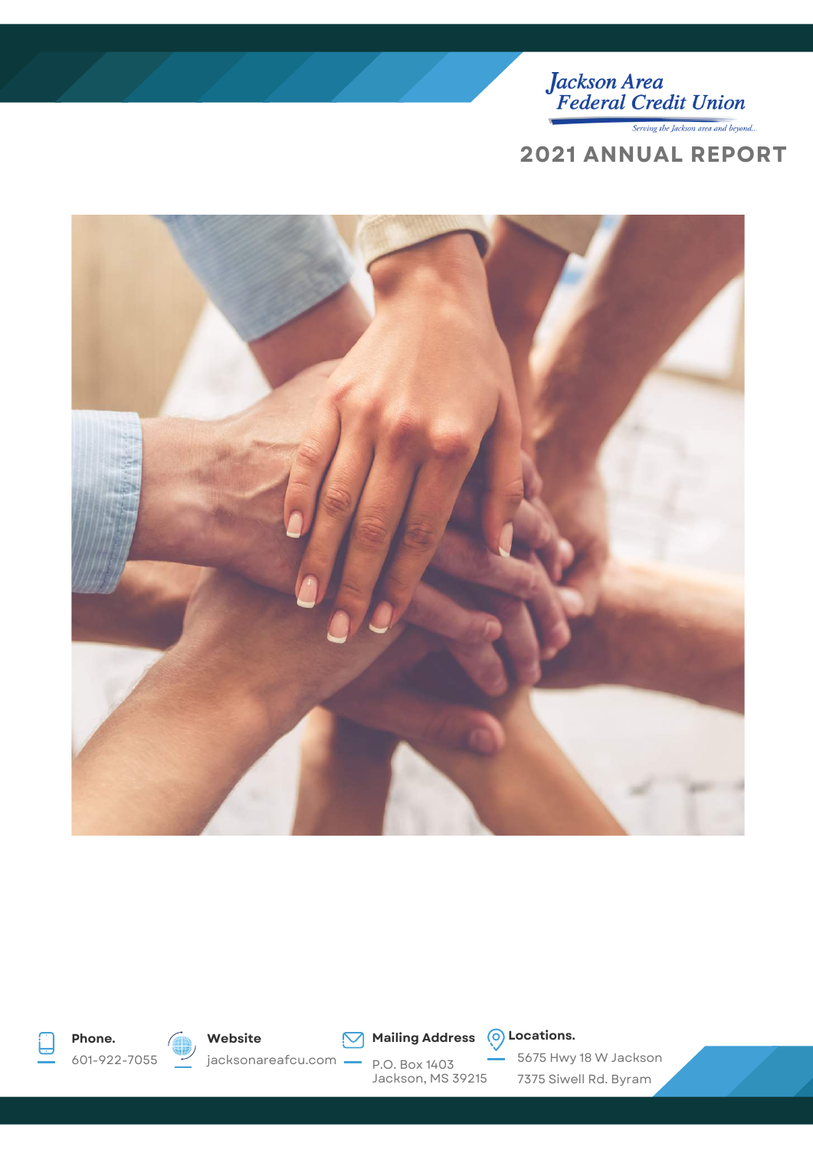

Serving the Jackson area and beyond...

### **2021 ANNUAL REPORT**







601-922-7055



jacksonareafcu.com

**Mailing Address**  $\overline{O}$  Locations.

P.O. Box 1403 Jackson, MS 39215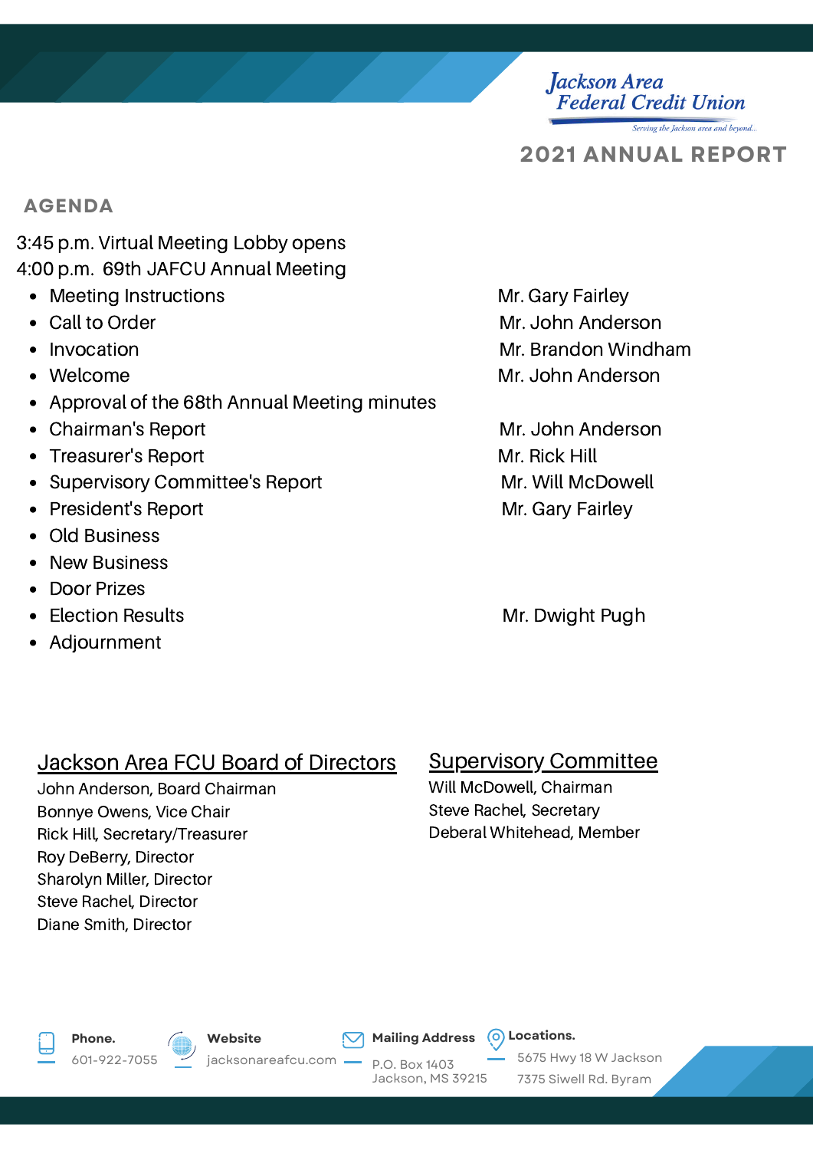**Federal Credit Union** 

Serving the Jackson area and beyond..

**2021 ANNUAL REPORT**

**Jackson Area** 

### **AGENDA**

3:45 p.m. Virtual Meeting Lobby opens 4:00 p.m. 69th JAFCU Annual Meeting

- Meeting Instructions **Mr. Gary Fairley** Mr. Gary Fairley
- 
- 
- 
- Approval of the 68th Annual Meeting minutes
- Chairman's Report **Mr. John Anderson**
- Treasurer's Report **Mr. Rick Hill**
- Supervisory Committee's Report Mr. Will McDowell
- President's Report **Mr. Gary Fairley**
- Old Business
- New Business
- Door Prizes  $\bullet$
- 
- Adjournment

## Call to Order No. 2008 and 2009 and 2009 and 2009 Mr. John Anderson Invocation **Mr. Brandon Windham** Welcome Mr. John Anderson

Election Results **Mr. Dwight Pugh** 

### Jackson Area FCU Board of Directors

John Anderson, Board Chairman Bonnye Owens, Vice Chair Rick Hill, Secretary/Treasurer Roy DeBerry, Director Sharolyn Miller, Director Steve Rachel, Director Diane Smith, Director

### Supervisory Committee

Will McDowell, Chairman Steve Rachel, Secretary Deberal Whitehead, Member



601-922-7055



**Mailing Address**  $\bigcirc$  Locations.

P.O. Box 1403 Jackson, MS 39215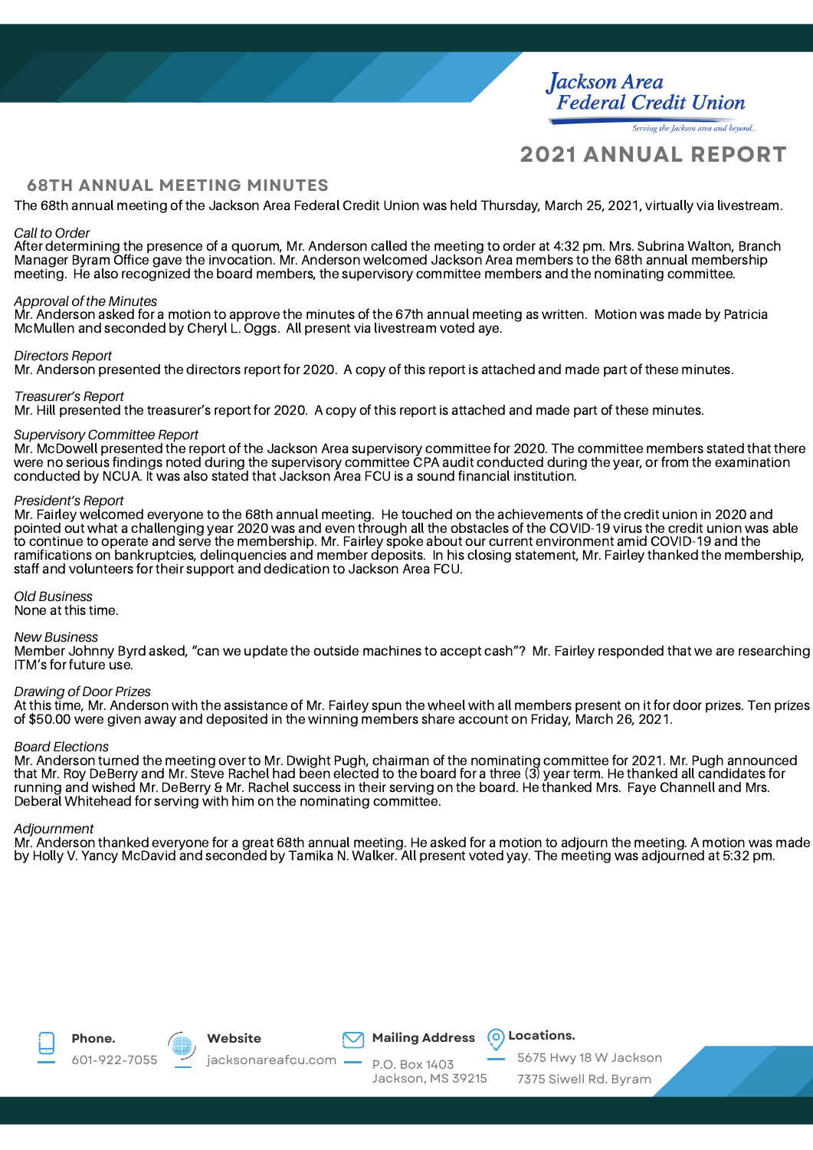**Jackson Area Federal Credit Union** 

Serving the Jackson area and beyond..

### **2021 ANNUAL REPORT**

### **68TH ANNUAL MEETING MINUTES**

The 68th annual meeting of the Jackson Area Federal Credit Union was held Thursday, March 25, 2021, virtually via livestream.

### *Call to Order*

After determining the presence of a quorum, Mr. Anderson called the meeting to order at 4:32 pm. Mrs. Subrina Walton, Branch Manager Byram Office gave the invocation. Mr. Anderson welcomed Jackson Area members to the 68th annual membership meeting. He also recognized the board members, the supervisory committee members and the nominating committee.

#### *Approval of the Minutes*

Mr. Anderson asked for a motion to approve the minutes of the 67th annual meeting as written. Motion was made by Patricia McMullen and seconded by Cheryl L. Oggs. All present via livestream voted aye.

#### *Directors Report*

Mr. Anderson presented the directors report for 2020. A copy of this report is attached and made part of these minutes.

#### *Treasurer's Report*

Mr. Hill presented the treasurer's report for 2020. A copy of this report is attached and made part of these minutes.

#### *Supervisory Committee Report*

Mr. McDowell presented the report of the Jackson Area supervisory committee for 2020. The committee members stated that there were no serious findings noted during the supervisory committee CPA audit conducted during the year, or from the examination conducted by NCUA. It was also stated that Jackson Area FCU is a sound financial institution.

#### *President's Report*

Mr. Fairley welcomed everyone to the 68th annual meeting. He touched on the achievements of the credit union in 2020 and pointed out what a challenging year 2020 was and even through all the obstacles of the COVID-19 virus the credit union was able to continue to operate and serve the membership. Mr. Fairley spoke about our current environment amid COVID-19 and the ramifications on bankruptcies, delinquencies and member deposits. In his closing statement, Mr. Fairley thanked the membership, staff and volunteers for their support and dedication to Jackson Area FCU.

### *Old Business*

None at this time.

#### *New Business*

Member Johnny Byrd asked, "can we update the outside machines to accept cash"? Mr. Fairley responded that we are researching ITM's for future use.

#### *Drawing of Door Prizes*

At this time, Mr. Anderson with the assistance of Mr. Fairley spun the wheel with all members present on it for door prizes. Ten prizes of \$50.00 were given away and deposited in the winning members share account on Friday, March 26, 2021.

### *Board Elections*

Mr. Anderson turned the meeting over to Mr. Dwight Pugh, chairman of the nominating committee for 2021. Mr. Pugh announced that Mr. Roy DeBerry and Mr. Steve Rachel had been elected to the board for a three (3) year term. He thanked all candidates for running and wished Mr. DeBerry & Mr. Rachel success in their serving on the board. He thanked Mrs. Faye Channell and Mrs. Deberal Whitehead for serving with him on the nominating committee.

#### *Adjournment*

Mr. Anderson thanked everyone for a great 68th annual meeting. He asked for a motion to adjourn the meeting. A motion was made by Holly V. Yancy McDavid and seconded by Tamika N. Walker. All present voted yay. The meeting was adjourned at 5:32 pm.





601-922-7055





**Mailing Address**  $\bigcirc$  Locations.

P.O. Box 1403 Jackson, MS 39215

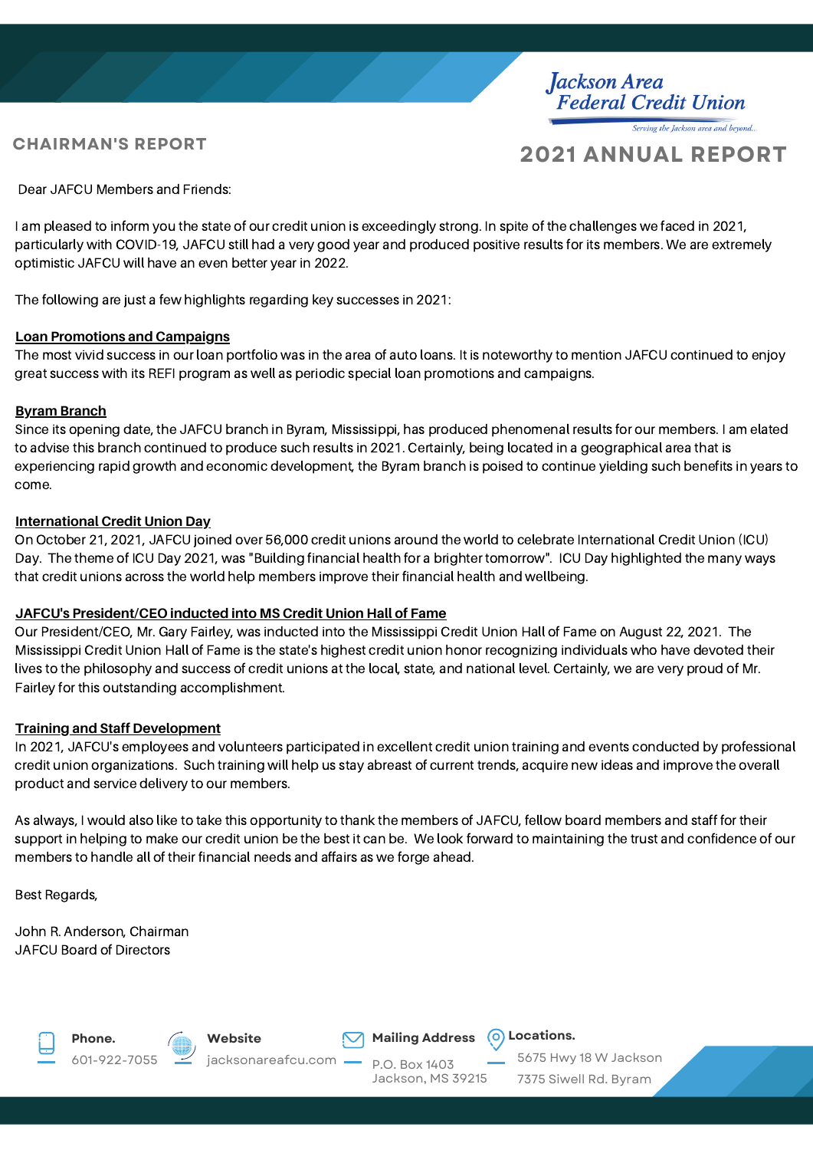### **CHAIRMAN'S REPORT**

### **2021 ANNUAL REPORT**

Serving the Jackson area and beyond.

Jackson Area<br>Federal Credit Union

Dear JAFCU Members and Friends:

I am pleased to inform you the state of our credit union is exceedingly strong. In spite of the challenges we faced in 2021, particularly with COVID-19, JAFCU still had a very good year and produced positive results for its members. We are extremely optimistic JAFCU will have an even better year in 2022.

The following are just a few highlights regarding key successes in 2021:

### **Loan Promotions and Campaigns**

The most vivid success in our loan portfolio was in the area of auto loans. It is noteworthy to mention JAFCU continued to enjoy great success with its REFI program as well as periodic special loan promotions and campaigns.

### **Byram Branch**

Since its opening date, the JAFCU branch in Byram, Mississippi, has produced phenomenal results for our members. I am elated to advise this branch continued to produce such results in 2021. Certainly, being located in a geographical area that is experiencing rapid growth and economic development, the Byram branch is poised to continue yielding such benefits in years to come.

### **International Credit Union Day**

On October 21, 2021, JAFCU joined over 56,000 credit unions around the world to celebrate International Credit Union (ICU) Day. The theme of ICU Day 2021, was "Building financial health for a brighter tomorrow". ICU Day highlighted the many ways that credit unions across the world help members improve their financial health and wellbeing.

### **JAFCU's President/CEO inducted into MS Credit Union Hall of Fame**

Our President/CEO, Mr. Gary Fairley, was inducted into the Mississippi Credit Union Hall of Fame on August 22, 2021. The Mississippi Credit Union Hall of Fame is the state's highest credit union honor recognizing individuals who have devoted their lives to the philosophy and success of credit unions at the local, state, and national level. Certainly, we are very proud of Mr. Fairley for this outstanding accomplishment.

### **Training and Staff Development**

In 2021, JAFCU's employees and volunteers participated in excellent credit union training and events conducted by professional credit union organizations. Such training will help us stay abreast of current trends, acquire new ideas and improve the overall product and service delivery to our members.

As always, I would also like to take this opportunity to thank the members of JAFCU, fellow board members and staff for their support in helping to make our credit union be the best it can be. We look forward to maintaining the trust and confidence of our members to handle all of their financial needs and affairs as we forge ahead.

Best Regards,

John R. Anderson, Chairman JAFCU Board of Directors









**Mailing Address**  $\overline{O}$  Locations.

P.O. Box 1403 Jackson, MS 39215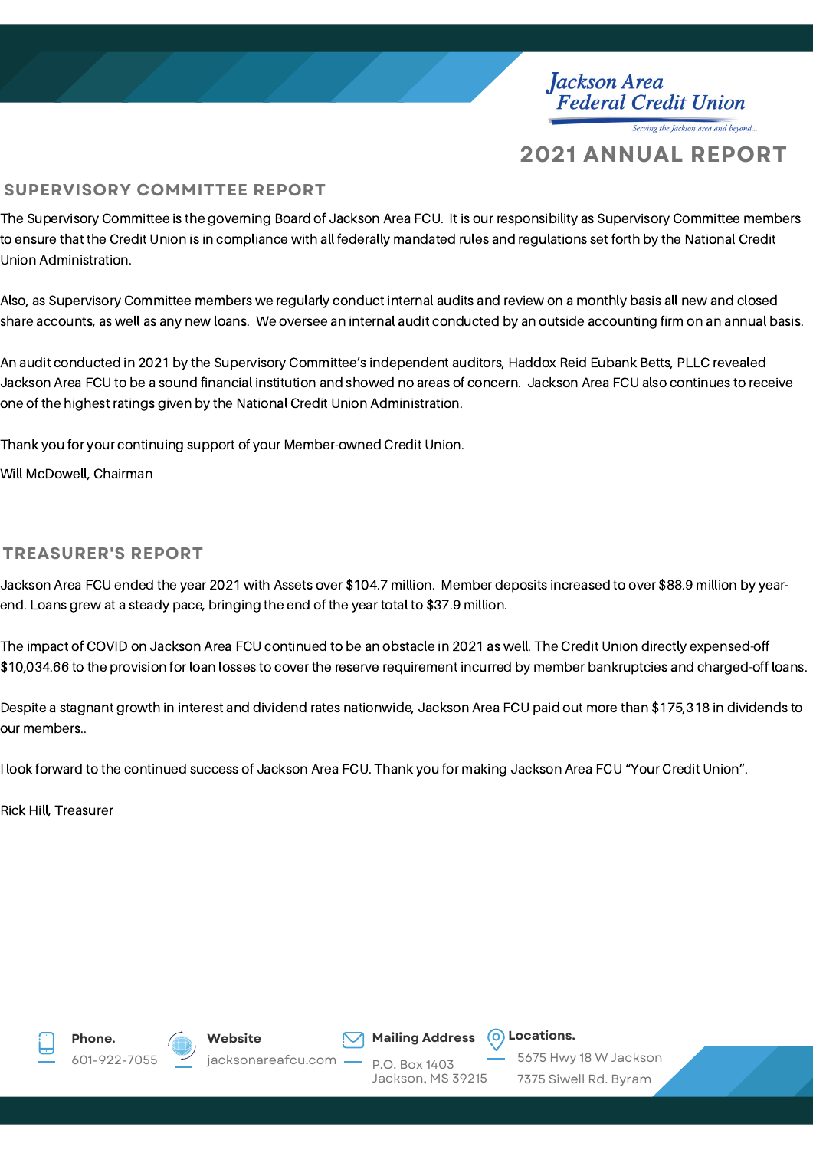Jackson Area<br>Federal Credit Union Serving the Jackson area and beyond..

### **2021 ANNUAL REPORT**

### **SUPERVISORY COMMITTEE REPORT**

The Supervisory Committee is the governing Board of Jackson Area FCU. It is our responsibility as Supervisory Committee members to ensure that the Credit Union is in compliance with all federally mandated rules and regulations set forth by the National Credit Union Administration.

Also, as Supervisory Committee members we regularly conduct internal audits and review on a monthly basis all new and closed share accounts, as well as any new loans. We oversee an internal audit conducted by an outside accounting firm on an annual basis.

An audit conducted in 2021 by the Supervisory Committee's independent auditors, Haddox Reid Eubank Betts, PLLC revealed Jackson Area FCU to be a sound financial institution and showed no areas of concern. Jackson Area FCU also continues to receive one of the highest ratings given by the National Credit Union Administration.

Thank you for your continuing support of your Member-owned Credit Union.

Will McDowell, Chairman

### **TREASURER'S REPORT**

Jackson Area FCU ended the year 2021 with Assets over \$104.7 million. Member deposits increased to over \$88.9 million by yearend. Loans grew at a steady pace, bringing the end of the year total to \$37.9 million.

The impact of COVID on Jackson Area FCU continued to be an obstacle in 2021 as well. The Credit Union directly expensed-off \$10,034.66 to the provision for loan losses to cover the reserve requirement incurred by member bankruptcies and charged-off loans.

Despite a stagnant growth in interest and dividend rates nationwide, Jackson Area FCU paid out more than \$175,318 in dividends to our members..

I look forward to the continued success of Jackson Area FCU. Thank you for making Jackson Area FCU "Your Credit Union".

Rick Hill, Treasurer









P.O. Box 1403 Jackson, MS 39215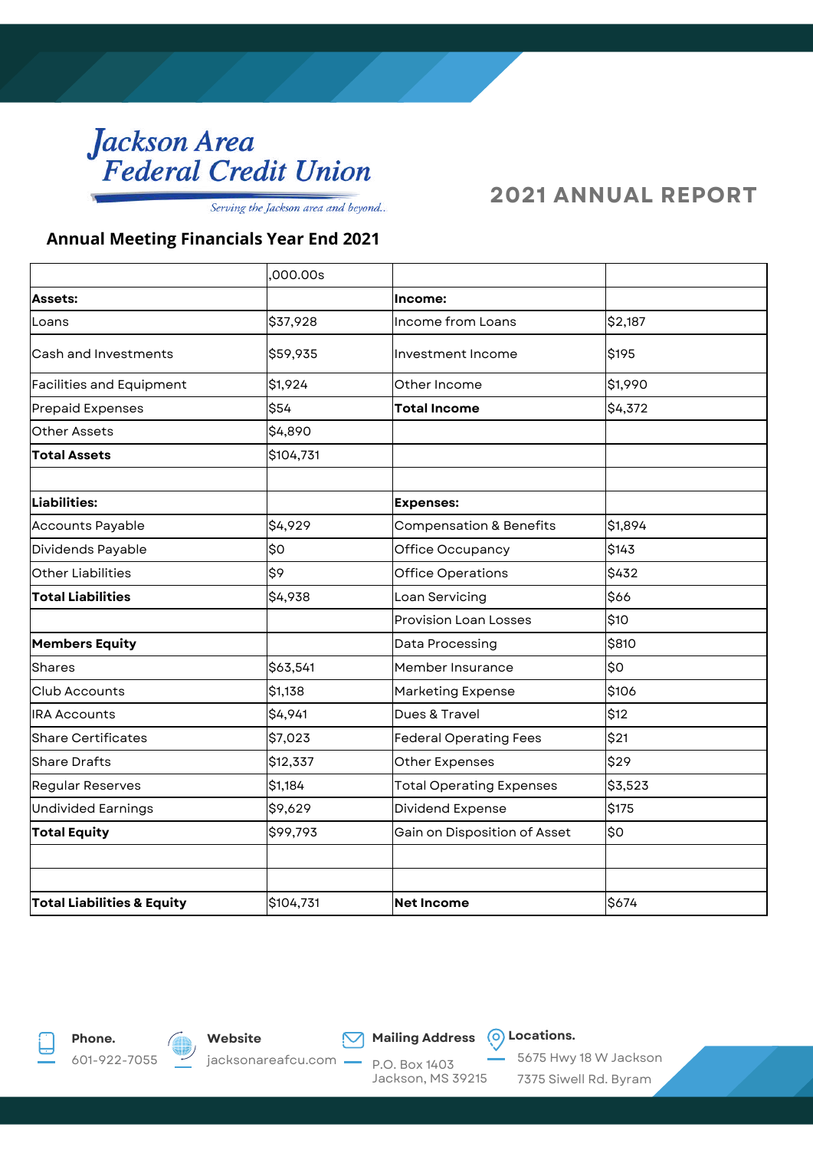# Jackson Area<br>Federal Credit Union

Serving the Jackson area and beyond...

### **2021 ANNUAL REPORT**

### **Annual Meeting Financials Year End 2021**

|                                       | ,000.00s  |                                    |         |
|---------------------------------------|-----------|------------------------------------|---------|
| <b>Assets:</b>                        |           | Income:                            |         |
| Loans                                 | \$37,928  | Income from Loans                  | \$2,187 |
| Cash and Investments                  | \$59,935  | lInvestment Income                 | \$195   |
| <b>Facilities and Equipment</b>       | \$1,924   | Other Income                       | \$1,990 |
| Prepaid Expenses                      | \$54      | <b>Total Income</b>                | \$4,372 |
| <b>Other Assets</b>                   | \$4,890   |                                    |         |
| <b>Total Assets</b>                   | \$104,731 |                                    |         |
|                                       |           |                                    |         |
| Liabilities:                          |           | <b>Expenses:</b>                   |         |
| <b>Accounts Payable</b>               | \$4,929   | <b>Compensation &amp; Benefits</b> | \$1,894 |
| Dividends Payable                     | lso       | Office Occupancy                   | \$143   |
| Other Liabilities                     | l\$9      | Office Operations                  | \$432   |
| <b>Total Liabilities</b>              | \$4,938   | Loan Servicing                     | \$66    |
|                                       |           | <b>Provision Loan Losses</b>       | \$10    |
| <b>Members Equity</b>                 |           | Data Processing                    | \$810   |
| <b>Shares</b>                         | \$63,541  | Member Insurance                   | \$O     |
| Club Accounts                         | \$1,138   | <b>Marketing Expense</b>           | \$106   |
| <b>IRA Accounts</b>                   | \$4,941   | Dues & Travel                      | \$12    |
| <b>Share Certificates</b>             | \$7,023   | Federal Operating Fees             | \$21    |
| <b>Share Drafts</b>                   | \$12,337  | Other Expenses                     | \$29    |
| <b>Regular Reserves</b>               | \$1,184   | <b>Total Operating Expenses</b>    | \$3,523 |
| <b>Undivided Earnings</b>             | \$9,629   | Dividend Expense                   | \$175   |
| <b>Total Equity</b>                   | \$99,793  | Gain on Disposition of Asset       | \$0     |
|                                       |           |                                    |         |
|                                       |           |                                    |         |
| <b>Total Liabilities &amp; Equity</b> | \$104,731 | <b>Net Income</b>                  | \$674   |





**Mailing Address**  $\overline{O}$  Locations.

P.O. Box 1403 Jackson, MS 39215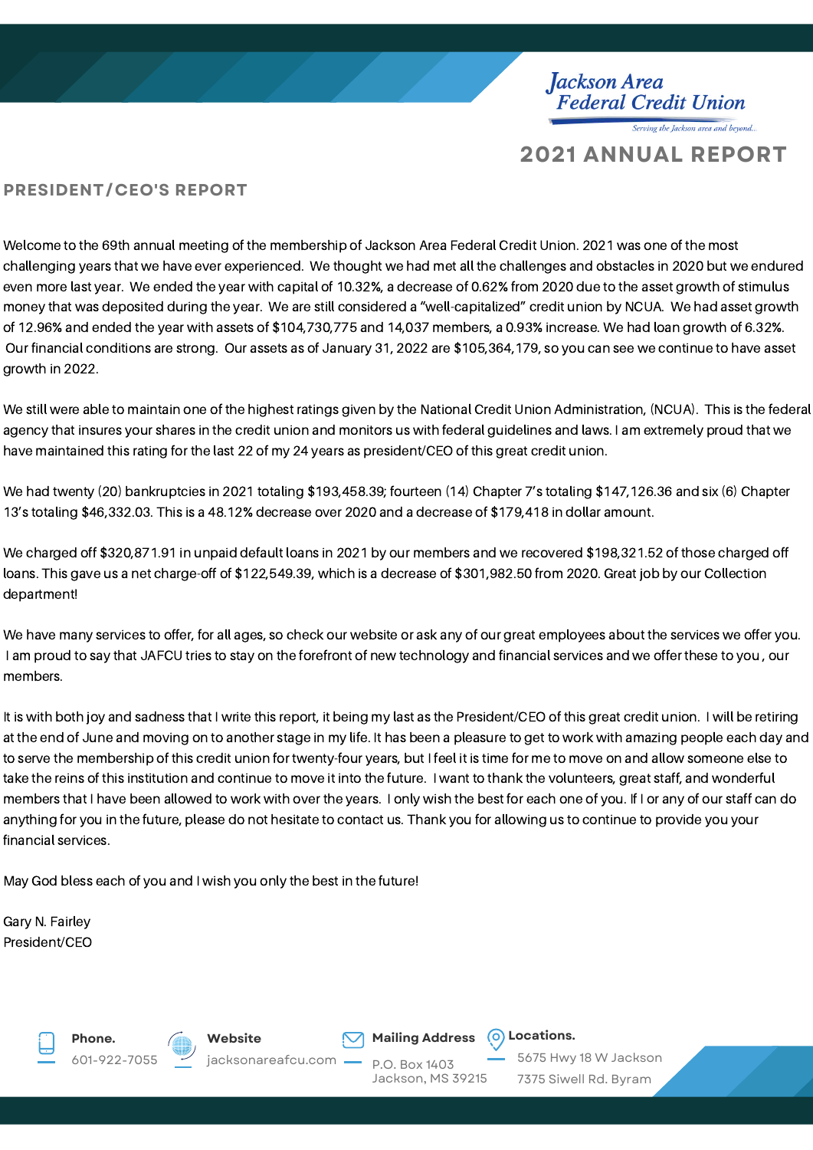Jackson Area<br>Federal Credit Union Serving the Jackson area and beyond..

### **2021 ANNUAL REPORT**

### **PRESIDENT/CEO'S REPORT**

Welcome to the 69th annual meeting of the membership of Jackson Area Federal Credit Union. 2021 was one of the most challenging years that we have ever experienced. We thought we had met all the challenges and obstacles in 2020 but we endured even more last year. We ended the year with capital of 10.32%, a decrease of 0.62% from 2020 due to the asset growth of stimulus money that was deposited during the year. We are still considered a "well-capitalized" credit union by NCUA. We had asset growth of 12.96% and ended the year with assets of \$104,730,775 and 14,037 members, a 0.93% increase. We had loan growth of 6.32%. Our financial conditions are strong. Our assets as of January 31, 2022 are \$105,364,179, so you can see we continue to have asset growth in 2022.

We still were able to maintain one of the highest ratings given by the National Credit Union Administration, (NCUA). This is the federal agency that insures your shares in the credit union and monitors us with federal guidelines and laws. I am extremely proud that we have maintained this rating for the last 22 of my 24 years as president/CEO of this great credit union.

We had twenty (20) bankruptcies in 2021 totaling \$193,458.39; fourteen (14) Chapter 7's totaling \$147,126.36 and six (6) Chapter 13's totaling \$46,332.03. This is a 48.12% decrease over 2020 and a decrease of \$179,418 in dollar amount.

We charged off \$320,871.91 in unpaid default loans in 2021 by our members and we recovered \$198,321.52 of those charged off loans. This gave us a net charge-off of \$122,549.39, which is a decrease of \$301,982.50 from 2020. Great job by our Collection department!

We have many services to offer, for all ages, so check our website or ask any of our great employees about the services we offer you. I am proud to say that JAFCU tries to stay on the forefront of new technology and financial services and we offer these to you , our members.

It is with both joy and sadness that I write this report, it being my last as the President/CEO of this great credit union. I will be retiring at the end of June and moving on to another stage in my life. It has been a pleasure to get to work with amazing people each day and to serve the membership of this credit union for twenty-four years, but I feel it is time for me to move on and allow someone else to take the reins of this institution and continue to move it into the future. I want to thank the volunteers, great staff, and wonderful members that I have been allowed to work with over the years. I only wish the best for each one of you. If I or any of our staff can do anything for you in the future, please do not hesitate to contact us. Thank you for allowing us to continue to provide you your financial services.

May God bless each of you and I wish you only the best in the future!

Gary N. Fairley President/CEO







jacksonareafcu.com

**Mailing Address**  $\bigcirc$  Locations.

P.O. Box 1403 Jackson, MS 39215